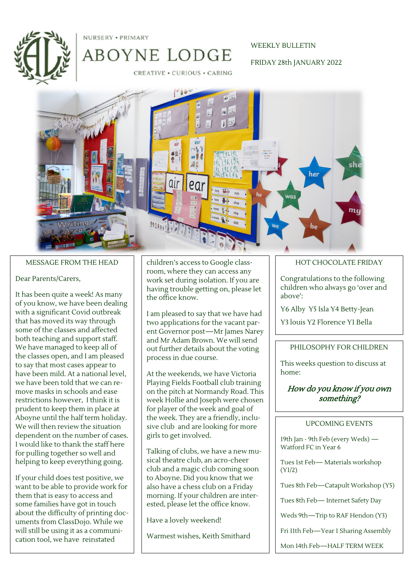

NURSERY . PRIMARY

### WEEKLY BULLETIN

#### FRIDAY 28th JANUARY 2022

CREATIVE . CURIOUS . CARING

ABOYNE LODGE



#### MESSAGE FROM THE HEAD

#### Dear Parents/Carers,

It has been quite a week! As many of you know, we have been dealing with a significant Covid outbreak that has moved its way through some of the classes and affected both teaching and support staff. We have managed to keep all of the classes open, and I am pleased to say that most cases appear to have been mild. At a national level, we have been told that we can remove masks in schools and ease restrictions however, I think it is prudent to keep them in place at Aboyne until the half term holiday. We will then review the situation dependent on the number of cases. I would like to thank the staff here for pulling together so well and helping to keep everything going.

If your child does test positive, we want to be able to provide work for them that is easy to access and some families have got in touch about the difficulty of printing documents from ClassDojo. While we will still be using it as a communication tool, we have reinstated

children's access to Google classroom, where they can access any work set during isolation. If you are having trouble getting on, please let the office know.

I am pleased to say that we have had two applications for the vacant parent Governor post—Mr James Narey and Mr Adam Brown. We will send out further details about the voting process in due course.

At the weekends, we have Victoria Playing Fields Football club training on the pitch at Normandy Road. This week Hollie and Joseph were chosen for player of the week and goal of the week. They are a friendly, inclusive club and are looking for more girls to get involved.

Talking of clubs, we have a new musical theatre club, an acro-cheer club and a magic club coming soon to Aboyne. Did you know that we also have a chess club on a Friday morning. If your children are interested, please let the office know.

Have a lovely weekend!

Warmest wishes, Keith Smithard

## HOT CHOCOLATE FRIDAY

Congratulations to the following children who always go 'over and above':

Y6 Alby Y5 Isla Y4 Betty-Jean

Y3 louis Y2 Florence Y1 Bella

#### PHILOSOPHY FOR CHILDREN

This weeks question to discuss at home:

## How do you know if you own something?

#### UPCOMING EVENTS

19th Jan - 9th Feb (every Weds) — Watford FC in Year 6

Tues 1st Feb— Materials workshop (Y1/2)

Tues 8th Feb—Catapult Workshop (Y5)

Tues 8th Feb— Internet Safety Day

Weds 9th—Trip to RAF Hendon (Y3)

Fri 11th Feb—Year 1 Sharing Assembly

Mon 14th Feb—HALF TERM WEEK